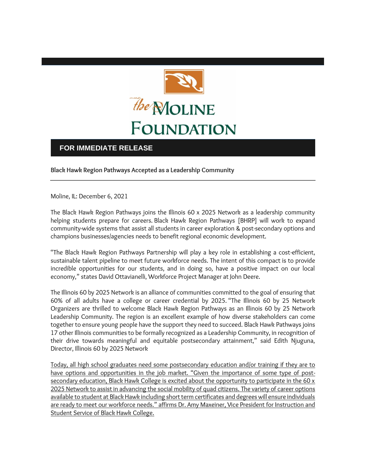

## **FOR IMMEDIATE RELEASE**

**Black Hawk Region Pathways Accepted as a Leadership Community**

Moline, IL: December 6, 2021

The Black Hawk Region Pathways joins the Illinois 60 x 2025 Network as a leadership community helping students prepare for careers. Black Hawk Region Pathways [BHRP] will work to expand community-wide systems that assist all students in career exploration & post-secondary options and champions businesses/agencies needs to benefit regional economic development.

"The Black Hawk Region Pathways Partnership will play a key role in establishing a cost-efficient, sustainable talent pipeline to meet future workforce needs. The intent of this compact is to provide incredible opportunities for our students, and in doing so, have a positive impact on our local economy," states David Ottavianelli, Workforce Project Manager at John Deere.

The Illinois 60 by 2025 Network is an alliance of communities committed to the goal of ensuring that 60% of all adults have a college or career credential by 2025. "The Illinois 60 by 25 Network Organizers are thrilled to welcome Black Hawk Region Pathways as an Illinois 60 by 25 Network Leadership Community. The region is an excellent example of how diverse stakeholders can come together to ensure young people have the support they need to succeed. Black Hawk Pathways joins 17 other Illinois communities to be formally recognized as a Leadership Community, in recognition of their drive towards meaningful and equitable postsecondary attainment," said Edith Njuguna, Director, Illinois 60 by 2025 Network

Today, all high school graduates need some postsecondary education and/or training if they are to have options and opportunities in the job market. "Given the importance of some type of postsecondary education, Black Hawk College is excited about the opportunity to participate in the 60 x 2025 Network to assist in advancing the social mobility of quad citizens. The variety of career options available to student at Black Hawk including short term certificates and degrees will ensure individuals are ready to meet our workforce needs." affirms Dr. Amy Maxeiner, Vice President for Instruction and Student Service of Black Hawk College.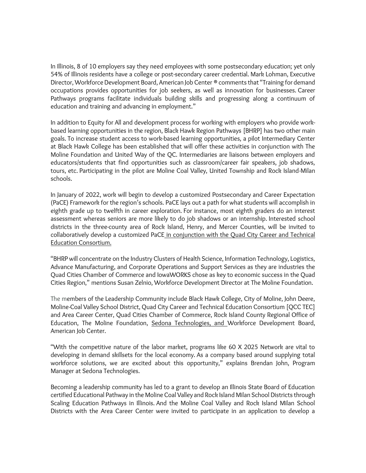In Illinois, 8 of 10 employers say they need employees with some postsecondary education; yet only 54% of Illinois residents have a college or post-secondary career credential. Mark Lohman, Executive Director, Workforce Development Board, American Job Center ® comments that "Training for demand occupations provides opportunities for job seekers, as well as innovation for businesses. Career Pathways programs facilitate individuals building skills and progressing along a continuum of education and training and advancing in employment."

In addition to Equity for All and development process for working with employers who provide workbased learning opportunities in the region, Black Hawk Region Pathways [BHRP] has two other main goals. To increase student access to work-based learning opportunities, a pilot Intermediary Center at Black Hawk College has been established that will offer these activities in conjunction with The Moline Foundation and United Way of the QC. Intermediaries are liaisons between employers and educators/students that find opportunities such as classroom/career fair speakers, job shadows, tours, etc. Participating in the pilot are Moline Coal Valley, United Township and Rock Island-Milan schools.

In January of 2022, work will begin to develop a customized Postsecondary and Career Expectation (PaCE) Framework for the region's schools. PaCE lays out a path for what students will accomplish in eighth grade up to twelfth in career exploration. For instance, most eighth graders do an interest assessment whereas seniors are more likely to do job shadows or an internship. Interested school districts in the three-county area of Rock Island, Henry, and Mercer Counties, will be invited to collaboratively develop a customized PaCE in conjunction with the Quad City Career and Technical Education Consortium.

"BHRP will concentrate on the Industry Clusters of Health Science, Information Technology, Logistics, Advance Manufacturing, and Corporate Operations and Support Services as they are industries the Quad Cities Chamber of Commerce and IowaWORKS chose as key to economic success in the Quad Cities Region," mentions Susan Zelnio, Workforce Development Director at The Moline Foundation.

The members of the Leadership Community include Black Hawk College, City of Moline, John Deere, Moline-Coal Valley School District, Quad City Career and Technical Education Consortium [QCC TEC] and Area Career Center, Quad Cities Chamber of Commerce, Rock Island County Regional Office of Education, The Moline Foundation, Sedona Technologies, and Workforce Development Board, American Job Center.

"With the competitive nature of the labor market, programs like 60 X 2025 Network are vital to developing in demand skillsets for the local economy. As a company based around supplying total workforce solutions, we are excited about this opportunity," explains Brendan John, Program Manager at Sedona Technologies.

Becoming a leadership community has led to a grant to develop an Illinois State Board of Education certified Educational Pathway in the Moline Coal Valley and Rock Island Milan School Districts through Scaling Education Pathways in Illinois. And the Moline Coal Valley and Rock Island Milan School Districts with the Area Career Center were invited to participate in an application to develop a